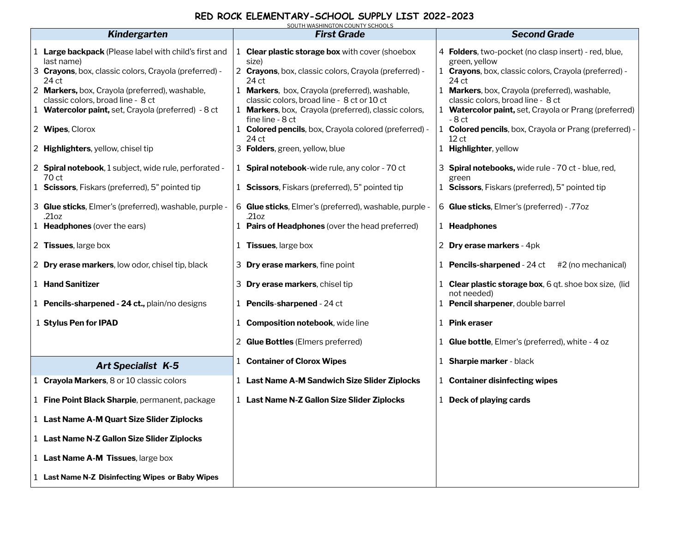## **RED ROCK ELEMENTARY-SCHOOL SUPPLY LIST 2022-2023**

SOUTH WASHINGTON COUNTY SCHOOLS

| Kindergarten                                                                        | <b>First Grade</b>                                                                           | <b>Second Grade</b>                                                                 |
|-------------------------------------------------------------------------------------|----------------------------------------------------------------------------------------------|-------------------------------------------------------------------------------------|
| Large backpack (Please label with child's first and<br>last name)                   | <b>Clear plastic storage box</b> with cover (shoebox<br>size)                                | 4 Folders, two-pocket (no clasp insert) - red, blue,<br>green, yellow               |
| 3 Crayons, box, classic colors, Crayola (preferred) -<br>24 ct                      | 2 Crayons, box, classic colors, Crayola (preferred) -<br>24 ct                               | Crayons, box, classic colors, Crayola (preferred) -<br>24 ct                        |
| 2 Markers, box, Crayola (preferred), washable,<br>classic colors, broad line - 8 ct | 1 Markers, box, Crayola (preferred), washable,<br>classic colors, broad line - 8 ct or 10 ct | 1 Markers, box, Crayola (preferred), washable,<br>classic colors, broad line - 8 ct |
| 1 Watercolor paint, set, Crayola (preferred) - 8 ct                                 | 1 Markers, box, Crayola (preferred), classic colors,<br>fine line - 8 ct                     | 1 Watercolor paint, set, Crayola or Prang (preferred)<br>$-8ct$                     |
| 2 Wipes, Clorox                                                                     | Colored pencils, box, Crayola colored (preferred) -<br>24 ct                                 | Colored pencils, box, Crayola or Prang (preferred) -<br>1<br>12 <sub>ct</sub>       |
| 2 Highlighters, yellow, chisel tip                                                  | 3 Folders, green, yellow, blue                                                               | <b>Highlighter, yellow</b><br>1                                                     |
| 2 Spiral notebook, 1 subject, wide rule, perforated -<br>70 ct                      | 1 Spiral notebook-wide rule, any color - 70 ct                                               | 3 Spiral notebooks, wide rule - 70 ct - blue, red,<br>green                         |
| 1 Scissors, Fiskars (preferred), 5" pointed tip                                     | 1 Scissors, Fiskars (preferred), 5" pointed tip                                              | 1 Scissors, Fiskars (preferred), 5" pointed tip                                     |
| 3 Glue sticks, Elmer's (preferred), washable, purple -<br>.21oz                     | 6 Glue sticks, Elmer's (preferred), washable, purple -<br>.21oz                              | 6 Glue sticks, Elmer's (preferred) - .77oz                                          |
| 1 Headphones (over the ears)                                                        | 1 Pairs of Headphones (over the head preferred)                                              | 1 Headphones                                                                        |
| 2 Tissues, large box                                                                | 1 Tissues, large box                                                                         | 2 Dry erase markers - 4pk                                                           |
| 2 Dry erase markers, low odor, chisel tip, black                                    | 3 Dry erase markers, fine point                                                              | 1 Pencils-sharpened - 24 ct<br>#2 (no mechanical)                                   |
| 1 Hand Sanitizer                                                                    | 3 Dry erase markers, chisel tip                                                              | 1 Clear plastic storage box, 6 qt. shoe box size, (lid<br>not needed)               |
| 1 Pencils-sharpened - 24 ct., plain/no designs                                      | 1 Pencils-sharpened - 24 ct                                                                  | Pencil sharpener, double barrel                                                     |
| 1 Stylus Pen for IPAD                                                               | <b>Composition notebook, wide line</b>                                                       | 1 Pink eraser                                                                       |
|                                                                                     | 2 Glue Bottles (Elmers preferred)                                                            | 1 Glue bottle, Elmer's (preferred), white - 4 oz                                    |
| <b>Art Specialist K-5</b>                                                           | 1 Container of Clorox Wipes                                                                  | 1 Sharpie marker - black                                                            |
| 1 Crayola Markers, 8 or 10 classic colors                                           | 1 Last Name A-M Sandwich Size Slider Ziplocks                                                | 1 Container disinfecting wipes                                                      |
| 1 Fine Point Black Sharpie, permanent, package                                      | 1 Last Name N-Z Gallon Size Slider Ziplocks                                                  | 1 Deck of playing cards                                                             |
| 1 Last Name A-M Quart Size Slider Ziplocks                                          |                                                                                              |                                                                                     |
| 1 Last Name N-Z Gallon Size Slider Ziplocks                                         |                                                                                              |                                                                                     |
| 1 Last Name A-M Tissues, large box                                                  |                                                                                              |                                                                                     |
| Last Name N-Z Disinfecting Wipes or Baby Wipes                                      |                                                                                              |                                                                                     |